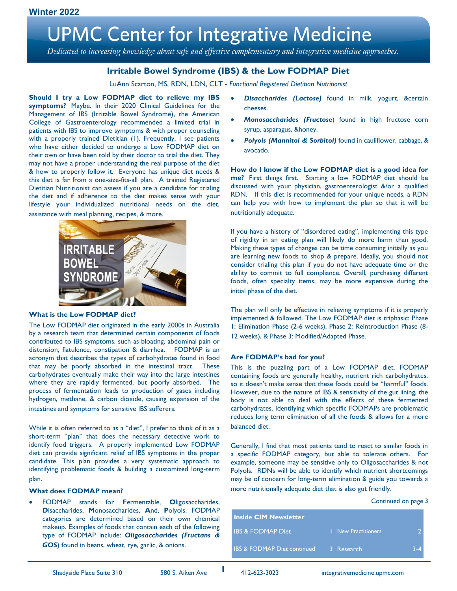Dedicated to increasing knowledge about safe and effective complementary and integrative medicine approaches.

## **Irritable Bowel Syndrome (IBS) & the Low FODMAP Diet**

LuAnn Scarton, MS, RDN, LDN, CLT - *Functional Registered Dietitian Nutritionist*

**Should I try a Low FODMAP diet to relieve my IBS symptoms?** Maybe. In their 2020 Clinical Guidelines for the Management of IBS (Irritable Bowel Syndrome), the American College of Gastroenterology recommended a limited trial in patients with IBS to improve symptoms & with proper counseling with a properly trained Dietitian (1). Frequently, I see patients who have either decided to undergo a Low FODMAP diet on their own or have been told by their doctor to trial the diet. They may not have a proper understanding the real purpose of the diet & how to properly follow it. Everyone has unique diet needs & this diet is far from a one-size-fits-all plan. A trained Registered Dietitian Nutritionist can assess if you are a candidate for trialing the diet and if adherence to the diet makes sense with your lifestyle your individualized nutritional needs on the diet, assistance with meal planning, recipes, & more.



#### **What is the Low FODMAP diet?**

The Low FODMAP diet originated in the early 2000s in Australia by a research team that determined certain components of foods contributed to IBS symptoms, such as bloating, abdominal pain or distension, flatulence, constipation & diarrhea. FODMAP is an acronym that describes the types of carbohydrates found in food that may be poorly absorbed in the intestinal tract. These carbohydrates eventually make their way into the large intestines where they are rapidly fermented, but poorly absorbed. The process of fermentation leads to production of gases including hydrogen, methane, & carbon dioxide, causing expansion of the intestines and symptoms for sensitive IBS sufferers.

While it is often referred to as a "diet", I prefer to think of it as a short-term "plan" that does the necessary detective work to identify food triggers. A properly implemented Low FODMAP diet can provide significant relief of IBS symptoms in the proper candidate. This plan provides a very systematic approach to identifying problematic foods & building a customized long-term plan.

#### **What does FODMAP mean?**

• FODMAP stands for **F**ermentable, **O**ligosaccharides, **D**isaccharides, **M**onosaccharides, **A**nd, **P**olyols. FODMAP categories are determined based on their own chemical makeup. Examples of foods that contain each of the following type of FODMAP include: *Oligosaccharides (Fructans & GOS*) found in beans, wheat, rye, garlic, & onions.

- *Disaccharides (Lactose)* found in milk, yogurt, &certain cheeses.
- *Monosaccharides (Fructose*) found in high fructose corn syrup, asparagus, &honey.
- *Polyols (Mannitol & Sorbitol)* found in cauliflower, cabbage, & avocado.

**How do I know if the Low FODMAP diet is a good idea for me?** First things first. Starting a low FODMAP diet should be discussed with your physician, gastroenterologist &/or a qualified RDN. If this diet is recommended for your unique needs, a RDN can help you with how to implement the plan so that it will be nutritionally adequate.

If you have a history of "disordered eating", implementing this type of rigidity in an eating plan will likely do more harm than good. Making these types of changes can be time consuming initially as you are learning new foods to shop & prepare. Ideally, you should not consider trialing this plan if you do not have adequate time or the ability to commit to full compliance. Overall, purchasing different foods, often specialty items, may be more expensive during the initial phase of the diet.

The plan will only be effective in relieving symptoms if it is properly implemented & followed. The Low FODMAP diet is triphasic: Phase 1: Elimination Phase (2-6 weeks), Phase 2: Reintroduction Phase (8- 12 weeks), & Phase 3: Modified/Adapted Phase.

#### **Are FODMAP's bad for you?**

This is the puzzling part of a Low FODMAP diet. FODMAP containing foods are generally healthy, nutrient rich carbohydrates, so it doesn't make sense that these foods could be "harmful" foods. However, due to the nature of IBS & sensitivity of the gut lining, the body is not able to deal with the effects of these fermented carbohydrates. Identifying which specific FODMAPs are problematic reduces long term elimination of all the foods & allows for a more balanced diet.

Generally, I find that most patients tend to react to similar foods in a specific FODMAP category, but able to tolerate others. For example, someone may be sensitive only to Oligosaccharides & not Polyols. RDNs will be able to identify which nutrient shortcomings may be of concern for long-term elimination & guide you towards a more nutritionally adequate diet that is also gut friendly.



| <b>Inside CIM Newsletter</b>           |                            |  |
|----------------------------------------|----------------------------|--|
| <b>IBS &amp; FODMAP Diet</b>           | <b>I</b> New Practitioners |  |
| <b>IBS &amp; FODMAP Diet continued</b> | 3 Research                 |  |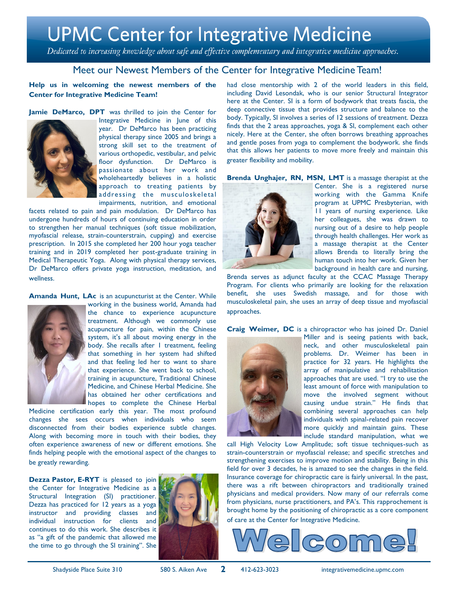Dedicated to increasing knowledge about safe and effective complementary and integrative medicine approaches.

## Meet our Newest Members of the Center for Integrative Medicine Team!

**Help us in welcoming the newest members of the Center for Integrative Medicine Team!**

**Jamie DeMarco, DPT** was thrilled to join the Center for



Integrative Medicine in June of this year. Dr DeMarco has been practicing physical therapy since 2005 and brings a strong skill set to the treatment of various orthopedic, vestibular, and pelvic floor dysfunction. Dr DeMarco is passionate about her work and wholeheartedly believes in a holistic approach to treating patients by addressing the musculoskeletal impairments, nutrition, and emotional

facets related to pain and pain modulation. Dr DeMarco has undergone hundreds of hours of continuing education in order to strengthen her manual techniques (soft tissue mobilization, myofascial release, strain-counterstrain, cupping) and exercise prescription. In 2015 she completed her 200 hour yoga teacher training and in 2019 completed her post-graduate training in Medical Therapeutic Yoga. Along with physical therapy services, Dr DeMarco offers private yoga instruction, meditation, and wellness.

#### **Amanda Hunt, LAc** is an acupuncturist at the Center. While



working in the business world, Amanda had the chance to experience acupuncture treatment. Although we commonly use acupuncture for pain, within the Chinese system, it's all about moving energy in the body. She recalls after 1 treatment, feeling that something in her system had shifted and that feeling led her to want to share that experience. She went back to school, training in acupuncture, Traditional Chinese Medicine, and Chinese Herbal Medicine. She has obtained her other certifications and hopes to complete the Chinese Herbal

Medicine certification early this year. The most profound changes she sees occurs when individuals who seem disconnected from their bodies experience subtle changes. Along with becoming more in touch with their bodies, they often experience awareness of new or different emotions. She finds helping people with the emotional aspect of the changes to be greatly rewarding.

**Dezza Pastor, E-RYT** is pleased to join the Center for Integrative Medicine as a Structural Integration (SI) practitioner. Dezza has practiced for 12 years as a yoga instructor and providing classes and individual instruction for clients and continues to do this work. She describes it as "a gift of the pandemic that allowed me the time to go through the SI training". She



had close mentorship with 2 of the world leaders in this field, including David Lesondak, who is our senior Structural Integrator here at the Center. SI is a form of bodywork that treats fascia, the deep connective tissue that provides structure and balance to the body. Typically, SI involves a series of 12 sessions of treatment. Dezza finds that the 2 areas approaches, yoga & SI, complement each other nicely. Here at the Center, she often borrows breathing approaches and gentle poses from yoga to complement the bodywork. she finds that this allows her patients to move more freely and maintain this greater flexibility and mobility.

**Brenda Unghajer, RN, MSN, LMT** is a massage therapist at the



Center. She is a registered nurse working with the Gamma Knife program at UPMC Presbyterian, with 11 years of nursing experience. Like her colleagues, she was drawn to nursing out of a desire to help people through health challenges. Her work as a massage therapist at the Center allows Brenda to literally bring the human touch into her work. Given her background in health care and nursing,

Brenda serves as adjunct faculty at the CCAC Massage Therapy Program. For clients who primarily are looking for the relaxation benefit, she uses Swedish massage, and for those with musculoskeletal pain, she uses an array of deep tissue and myofascial approaches.

**Craig Weimer, DC** is a chiropractor who has joined Dr. Daniel



Miller and is seeing patients with back, neck, and other musculoskeletal pain problems. Dr. Weimer has been in practice for 32 years. He highlights the array of manipulative and rehabilitation approaches that are used. "I try to use the least amount of force with manipulation to move the involved segment without causing undue strain." He finds that combining several approaches can help individuals with spinal-related pain recover more quickly and maintain gains. These include standard manipulation, what we

call High Velocity Low Amplitude; soft tissue techniques-such as strain-counterstrain or myofascial release; and specific stretches and strengthening exercises to improve motion and stability. Being in this field for over 3 decades, he is amazed to see the changes in the field. Insurance coverage for chiropractic care is fairly universal. In the past, there was a rift between chiropractors and traditionally trained physicians and medical providers. Now many of our referrals come from physicians, nurse practitioners, and PA's. This rapprochement is brought home by the positioning of chiropractic as a core component of care at the Center for Integrative Medicine.

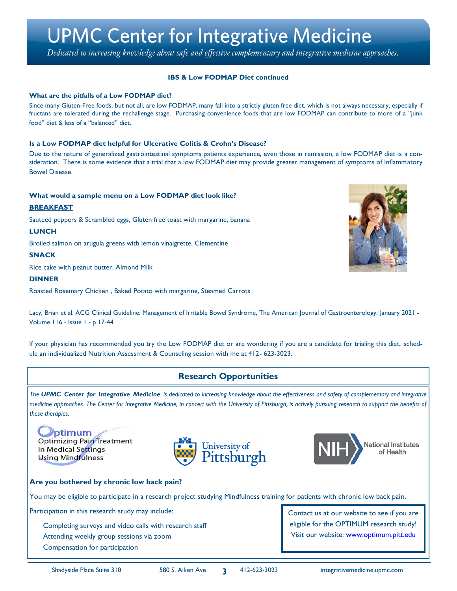Dedicated to increasing knowledge about safe and effective complementary and integrative medicine approaches.

### **IBS & Low FODMAP Diet continued**

### **What are the pitfalls of a Low FODMAP diet?**

Since many Gluten-Free foods, but not all, are low FODMAP, many fall into a strictly gluten free diet, which is not always necessary, especially if fructans are tolerated during the rechallenge stage. Purchasing convenience foods that are low FODMAP can contribute to more of a "junk food" diet & less of a "balanced" diet.

### **Is a Low FODMAP diet helpful for Ulcerative Colitis & Crohn's Disease?**

Due to the nature of generalized gastrointestinal symptoms patients experience, even those in remission, a low FODMAP diet is a consideration. There is some evidence that a trial that a low FODMAP diet may provide greater management of symptoms of Inflammatory Bowel Disease.

## **What would a sample menu on a Low FODMAP diet look like?**

## **BREAKFAST**

Sauteed peppers & Scrambled eggs, Gluten free toast with margarine, banana

## **LUNCH**

Broiled salmon on arugula greens with lemon vinaigrette, Clementine

#### **SNACK**

Rice cake with peanut butter, Almond Milk

#### **DINNER**

Roasted Rosemary Chicken , Baked Potato with margarine, Steamed Carrots

Lacy, Brian et al. ACG Clinical Guideline: Management of Irritable Bowel Syndrome, The American Journal of Gastroenterology: January 2021 - Volume 116 - Issue 1 - p 17-44

If your physician has recommended you try the Low FODMAP diet or are wondering if you are a candidate for trialing this diet, schedule an individualized Nutrition Assessment & Counseling session with me at 412- 623-3023.

## **Research Opportunities**

*The UPMC Center for Integrative Medicine is dedicated to increasing knowledge about the effectiveness and safety of complementary and integrative medicine approaches. The Center for Integrative Medicine, in concert with the University of Pittsburgh, is actively pursuing research to support the benefits of these therapies.*

#### 'ptimum **Optimizing Pain Treatment**

in Medical Settings **Using Mindfulness** 





**National Institutes** of Health

#### **Are you bothered by chronic low back pain?**

You may be eligible to participate in a research project studying Mindfulness training for patients with chronic low back pain.

**3**

Participation in this research study may include:

Completing surveys and video calls with research staff

- Attending weekly group sessions via zoom
- Compensation for participation

Contact us at our website to see if you are eligible for the OPTIMUM research study! Visit our website: [www.optimum.pitt.edu](http://www.optimum.pitt.edu)